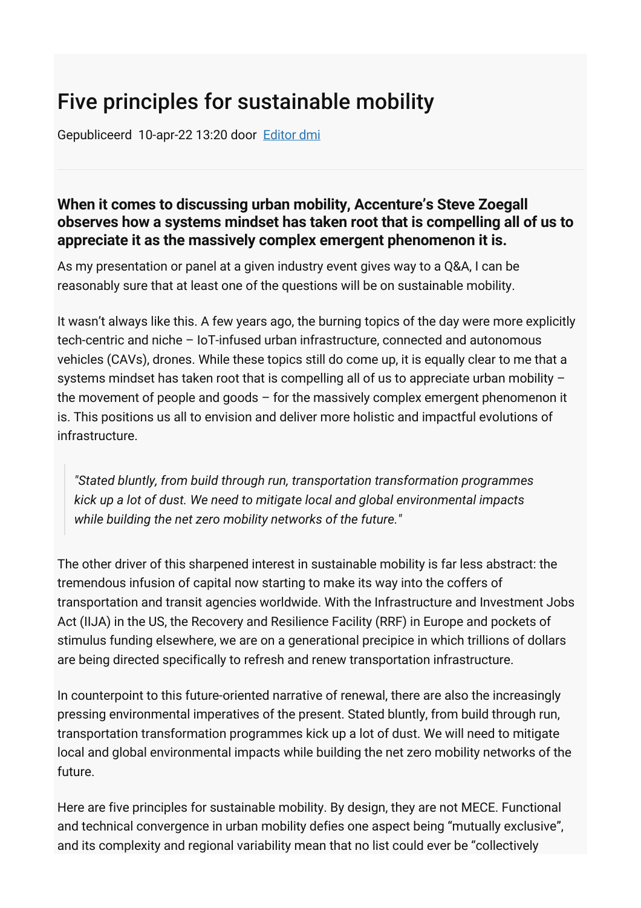# Five principles for sustainable mobility

Gepubliceerd 10-apr-22 13:20 door [Editor dmi](https://dutchmobilityinnovations.com/people/Redactie-DMI)

#### **When it comes to discussing urban mobility, Accenture's Steve Zoegall observes how a systems mindset has taken root that is compelling all of us to appreciate it as the massively complex emergent phenomenon it is.**

As my presentation or panel at a given industry event gives way to a Q&A, I can be reasonably sure that at least one of the questions will be on sustainable mobility.

It wasn't always like this. A few years ago, the burning topics of the day were more explicitly tech-centric and niche – IoT-infused urban infrastructure, connected and autonomous vehicles (CAVs), drones. While these topics still do come up, it is equally clear to me that a systems mindset has taken root that is compelling all of us to appreciate urban mobility the movement of people and goods – for the massively complex emergent phenomenon it is. This positions us all to envision and deliver more holistic and impactful evolutions of infrastructure.

*"Stated bluntly, from build through run, transportation transformation programmes kick up a lot of dust. We need to mitigate local and global environmental impacts while building the net zero mobility networks of the future."*

The other driver of this sharpened interest in sustainable mobility is far less abstract: the tremendous infusion of capital now starting to make its way into the coffers of transportation and transit agencies worldwide. With the Infrastructure and Investment Jobs Act (IIJA) in the US, the Recovery and Resilience Facility (RRF) in Europe and pockets of stimulus funding elsewhere, we are on a generational precipice in which trillions of dollars are being directed specifically to refresh and renew transportation infrastructure.

In counterpoint to this future-oriented narrative of renewal, there are also the increasingly pressing environmental imperatives of the present. Stated bluntly, from build through run, transportation transformation programmes kick up a lot of dust. We will need to mitigate local and global environmental impacts while building the net zero mobility networks of the future.

Here are five principles for sustainable mobility. By design, they are not MECE. Functional and technical convergence in urban mobility defies one aspect being "mutually exclusive", and its complexity and regional variability mean that no list could ever be "collectively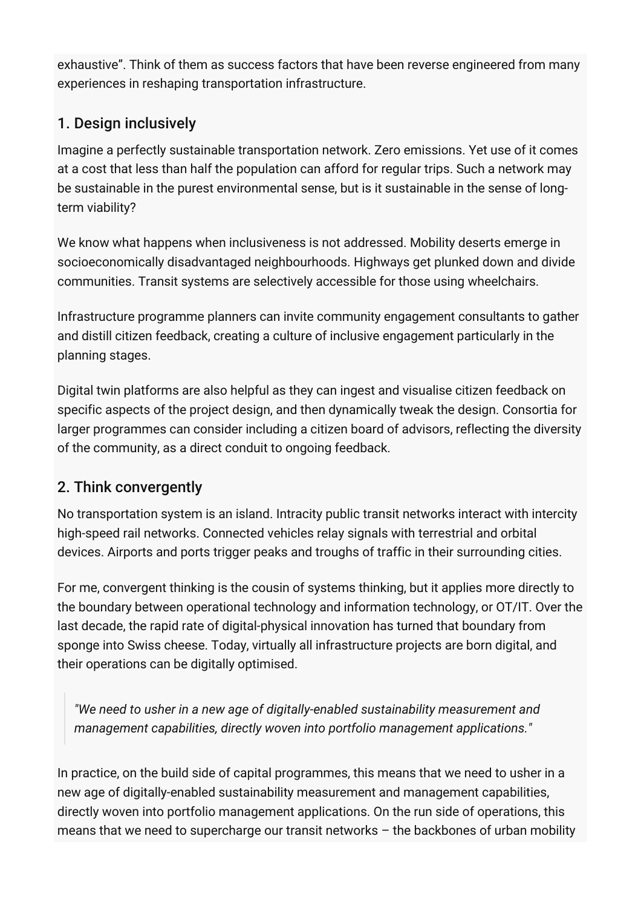exhaustive". Think of them as success factors that have been reverse engineered from many experiences in reshaping transportation infrastructure.

## 1. Design inclusively

Imagine a perfectly sustainable transportation network. Zero emissions. Yet use of it comes at a cost that less than half the population can afford for regular trips. Such a network may be sustainable in the purest environmental sense, but is it sustainable in the sense of longterm viability?

We know what happens when inclusiveness is not addressed. Mobility deserts emerge in socioeconomically disadvantaged neighbourhoods. Highways get plunked down and divide communities. Transit systems are selectively accessible for those using wheelchairs.

Infrastructure programme planners can invite community engagement consultants to gather and distill citizen feedback, creating a culture of inclusive engagement particularly in the planning stages.

Digital twin platforms are also helpful as they can ingest and visualise citizen feedback on specific aspects of the project design, and then dynamically tweak the design. Consortia for larger programmes can consider including a citizen board of advisors, reflecting the diversity of the community, as a direct conduit to ongoing feedback.

### 2. Think convergently

No transportation system is an island. Intracity public transit networks interact with intercity high-speed rail networks. Connected vehicles relay signals with terrestrial and orbital devices. Airports and ports trigger peaks and troughs of traffic in their surrounding cities.

For me, convergent thinking is the cousin of systems thinking, but it applies more directly to the boundary between operational technology and information technology, or OT/IT. Over the last decade, the rapid rate of digital-physical innovation has turned that boundary from sponge into Swiss cheese. Today, virtually all infrastructure projects are born digital, and their operations can be digitally optimised.

*"We need to usher in a new age of digitally-enabled sustainability measurement and management capabilities, directly woven into portfolio management applications."*

In practice, on the build side of capital programmes, this means that we need to usher in a new age of digitally-enabled sustainability measurement and management capabilities, directly woven into portfolio management applications. On the run side of operations, this means that we need to supercharge our transit networks – the backbones of urban mobility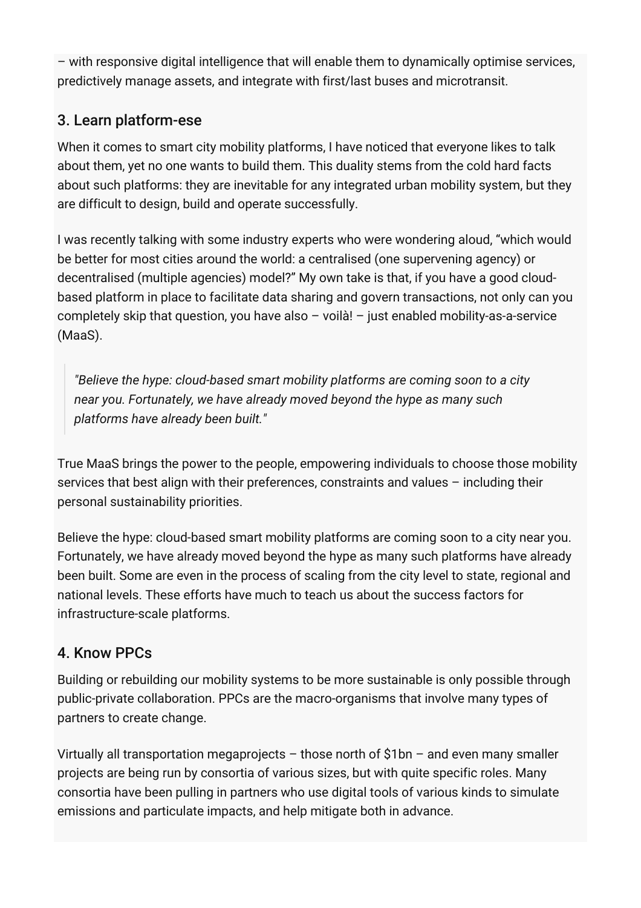– with responsive digital intelligence that will enable them to dynamically optimise services, predictively manage assets, and integrate with first/last buses and microtransit.

## 3. Learn platform-ese

When it comes to smart city mobility platforms, I have noticed that everyone likes to talk about them, yet no one wants to build them. This duality stems from the cold hard facts about such platforms: they are inevitable for any integrated urban mobility system, but they are difficult to design, build and operate successfully.

I was recently talking with some industry experts who were wondering aloud, "which would be better for most cities around the world: a centralised (one supervening agency) or decentralised (multiple agencies) model?" My own take is that, if you have a good cloudbased platform in place to facilitate data sharing and govern transactions, not only can you completely skip that question, you have also  $-$  voilà!  $-$  just enabled mobility-as-a-service (MaaS).

*"Believe the hype: cloud-based smart mobility platforms are coming soon to a city near you. Fortunately, we have already moved beyond the hype as many such platforms have already been built."*

True MaaS brings the power to the people, empowering individuals to choose those mobility services that best align with their preferences, constraints and values – including their personal sustainability priorities.

Believe the hype: cloud-based smart mobility platforms are coming soon to a city near you. Fortunately, we have already moved beyond the hype as many such platforms have already been built. Some are even in the process of scaling from the city level to state, regional and national levels. These efforts have much to teach us about the success factors for infrastructure-scale platforms.

### 4. Know PPCs

Building or rebuilding our mobility systems to be more sustainable is only possible through public-private collaboration. PPCs are the macro-organisms that involve many types of partners to create change.

Virtually all transportation megaprojects  $-$  those north of \$1bn  $-$  and even many smaller projects are being run by consortia of various sizes, but with quite specific roles. Many consortia have been pulling in partners who use digital tools of various kinds to simulate emissions and particulate impacts, and help mitigate both in advance.